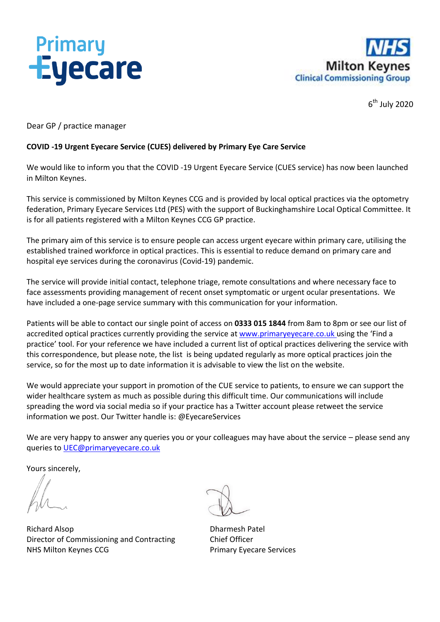



6 th July 2020

Dear GP / practice manager

#### **COVID -19 Urgent Eyecare Service (CUES) delivered by Primary Eye Care Service**

We would like to inform you that the COVID -19 Urgent Eyecare Service (CUES service) has now been launched in Milton Keynes.

This service is commissioned by Milton Keynes CCG and is provided by local optical practices via the optometry federation, Primary Eyecare Services Ltd (PES) with the support of Buckinghamshire Local Optical Committee. It is for all patients registered with a Milton Keynes CCG GP practice.

The primary aim of this service is to ensure people can access urgent eyecare within primary care, utilising the established trained workforce in optical practices. This is essential to reduce demand on primary care and hospital eye services during the coronavirus (Covid-19) pandemic.

The service will provide initial contact, telephone triage, remote consultations and where necessary face to face assessments providing management of recent onset symptomatic or urgent ocular presentations. We have included a one-page service summary with this communication for your information.

Patients will be able to contact our single point of access on **0333 015 1844** from 8am to 8pm or see our list of accredited optical practices currently providing the service at [www.primaryeyecare.co.uk](http://www.primaryeyecare.co.uk/) using the 'Find a practice' tool. For your reference we have included a current list of optical practices delivering the service with this correspondence, but please note, the list is being updated regularly as more optical practices join the service, so for the most up to date information it is advisable to view the list on the website.

We would appreciate your support in promotion of the CUE service to patients, to ensure we can support the wider healthcare system as much as possible during this difficult time. Our communications will include spreading the word via social media so if your practice has a Twitter account please retweet the service information we post. Our Twitter handle is: @EyecareServices

We are very happy to answer any queries you or your colleagues may have about the service – please send any queries to [UEC@primaryeyecare.co.uk](mailto:UEC@primaryeyecare.co.uk)

Yours sincerely,

Richard Alsop **Dharmesh Patel** Director of Commissioning and Contracting Chief Officer NHS Milton Keynes CCG **Primary Eyecare Services**